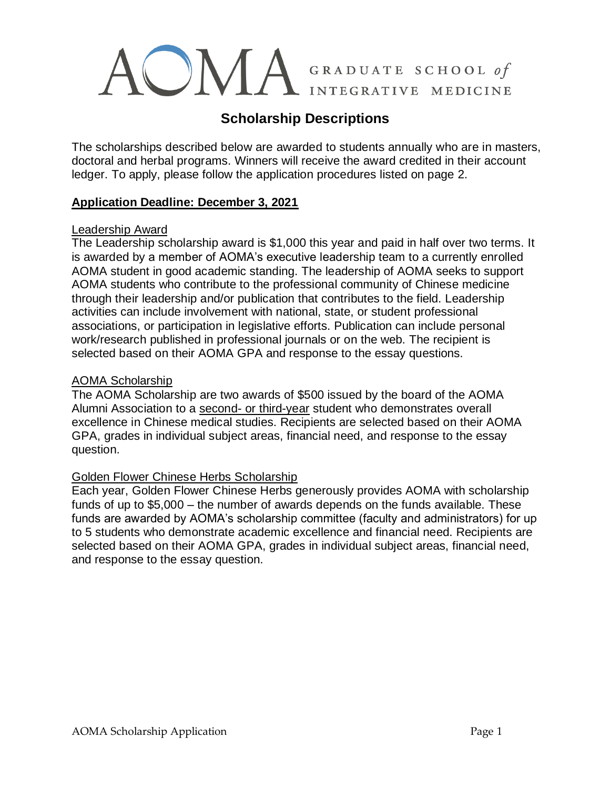# A GRADUATE SCHOOL of INTEGRATIVE MEDICINE

# **Scholarship Descriptions**

The scholarships described below are awarded to students annually who are in masters, doctoral and herbal programs. Winners will receive the award credited in their account ledger. To apply, please follow the application procedures listed on page 2.

## **Application Deadline: December 3, 2021**

#### Leadership Award

The Leadership scholarship award is \$1,000 this year and paid in half over two terms. It is awarded by a member of AOMA's executive leadership team to a currently enrolled AOMA student in good academic standing. The leadership of AOMA seeks to support AOMA students who contribute to the professional community of Chinese medicine through their leadership and/or publication that contributes to the field. Leadership activities can include involvement with national, state, or student professional associations, or participation in legislative efforts. Publication can include personal work/research published in professional journals or on the web. The recipient is selected based on their AOMA GPA and response to the essay questions.

## AOMA Scholarship

The AOMA Scholarship are two awards of \$500 issued by the board of the AOMA Alumni Association to a second- or third-year student who demonstrates overall excellence in Chinese medical studies. Recipients are selected based on their AOMA GPA, grades in individual subject areas, financial need, and response to the essay question.

#### Golden Flower Chinese Herbs Scholarship

Each year, Golden Flower Chinese Herbs generously provides AOMA with scholarship funds of up to \$5,000 – the number of awards depends on the funds available. These funds are awarded by AOMA's scholarship committee (faculty and administrators) for up to 5 students who demonstrate academic excellence and financial need. Recipients are selected based on their AOMA GPA, grades in individual subject areas, financial need, and response to the essay question.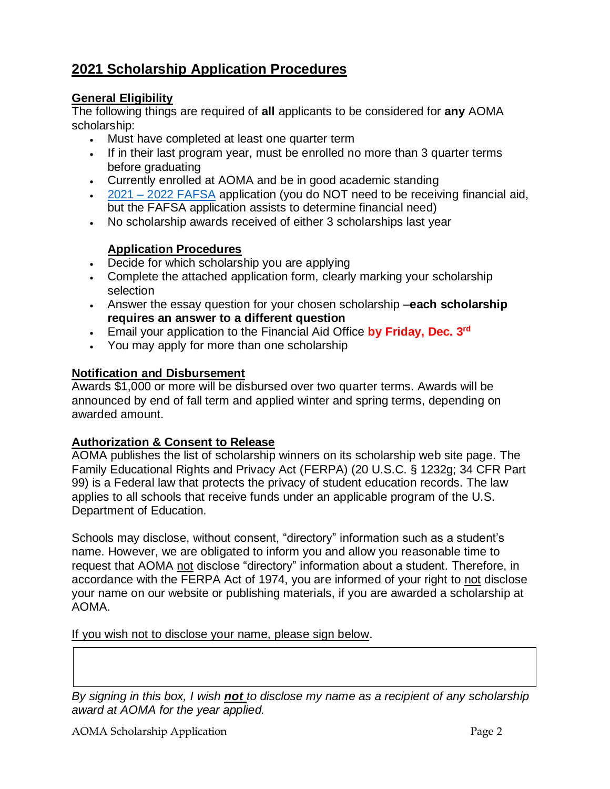# **2021 Scholarship Application Procedures**

## **General Eligibility**

The following things are required of **all** applicants to be considered for **any** AOMA scholarship:

- Must have completed at least one quarter term
- If in their last program year, must be enrolled no more than 3 quarter terms before graduating
- Currently enrolled at AOMA and be in good academic standing
- 2021 2022 [FAFSA](https://studentaid.gov/h/apply-for-aid/fafsa) application (you do NOT need to be receiving financial aid, but the FAFSA application assists to determine financial need)
- No scholarship awards received of either 3 scholarships last year

## **Application Procedures**

- Decide for which scholarship you are applying
- Complete the attached application form, clearly marking your scholarship selection
- Answer the essay question for your chosen scholarship –**each scholarship requires an answer to a different question**
- Email your application to the Financial Aid Office **by Friday, Dec. 3rd**
- You may apply for more than one scholarship

## **Notification and Disbursement**

Awards \$1,000 or more will be disbursed over two quarter terms. Awards will be announced by end of fall term and applied winter and spring terms, depending on awarded amount.

#### **Authorization & Consent to Release**

AOMA publishes the list of scholarship winners on its scholarship web site page. The Family Educational Rights and Privacy Act (FERPA) (20 U.S.C. § 1232g; 34 CFR Part 99) is a Federal law that protects the privacy of student education records. The law applies to all schools that receive funds under an applicable program of the U.S. Department of Education.

Schools may disclose, without consent, "directory" information such as a student's name. However, we are obligated to inform you and allow you reasonable time to request that AOMA not disclose "directory" information about a student. Therefore, in accordance with the FERPA Act of 1974, you are informed of your right to not disclose your name on our website or publishing materials, if you are awarded a scholarship at AOMA.

If you wish not to disclose your name, please sign below.

*By signing in this box, I wish not to disclose my name as a recipient of any scholarship award at AOMA for the year applied.*

AOMA Scholarship Application **Page 2** and the *Page 2* and *Page 2* and *Page 2* and *Page 2* and *Page 2* and *Page 2* and *Page 2* and *Page 2* and *Page 2* and *Page 2* and *Page 2* and *Page 2* and *Page 2* and *Page 2*